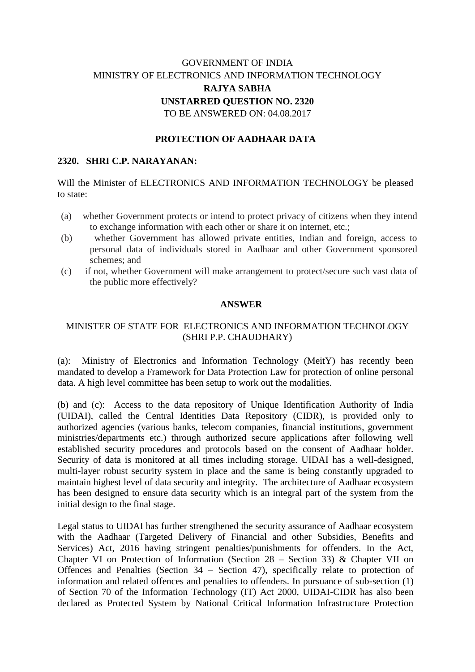# GOVERNMENT OF INDIA MINISTRY OF ELECTRONICS AND INFORMATION TECHNOLOGY **RAJYA SABHA UNSTARRED QUESTION NO. 2320** TO BE ANSWERED ON: 04.08.2017

## **PROTECTION OF AADHAAR DATA**

#### **2320. SHRI C.P. NARAYANAN:**

Will the Minister of ELECTRONICS AND INFORMATION TECHNOLOGY be pleased to state:

- (a) whether Government protects or intend to protect privacy of citizens when they intend to exchange information with each other or share it on internet, etc.;
- (b) whether Government has allowed private entities, Indian and foreign, access to personal data of individuals stored in Aadhaar and other Government sponsored schemes; and
- (c) if not, whether Government will make arrangement to protect/secure such vast data of the public more effectively?

#### **ANSWER**

### MINISTER OF STATE FOR ELECTRONICS AND INFORMATION TECHNOLOGY (SHRI P.P. CHAUDHARY)

(a): Ministry of Electronics and Information Technology (MeitY) has recently been mandated to develop a Framework for Data Protection Law for protection of online personal data. A high level committee has been setup to work out the modalities.

(b) and (c): Access to the data repository of Unique Identification Authority of India (UIDAI), called the Central Identities Data Repository (CIDR), is provided only to authorized agencies (various banks, telecom companies, financial institutions, government ministries/departments etc.) through authorized secure applications after following well established security procedures and protocols based on the consent of Aadhaar holder. Security of data is monitored at all times including storage. UIDAI has a well-designed, multi-layer robust security system in place and the same is being constantly upgraded to maintain highest level of data security and integrity. The architecture of Aadhaar ecosystem has been designed to ensure data security which is an integral part of the system from the initial design to the final stage.

Legal status to UIDAI has further strengthened the security assurance of Aadhaar ecosystem with the Aadhaar (Targeted Delivery of Financial and other Subsidies, Benefits and Services) Act, 2016 having stringent penalties/punishments for offenders. In the Act, Chapter VI on Protection of Information (Section 28 – Section 33) & Chapter VII on Offences and Penalties (Section 34 – Section 47), specifically relate to protection of information and related offences and penalties to offenders. In pursuance of sub-section (1) of Section 70 of the Information Technology (IT) Act 2000, UIDAI-CIDR has also been declared as Protected System by National Critical Information Infrastructure Protection